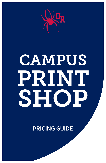

# **CAMPUS** PRINT SHOP

PRICING GUIDE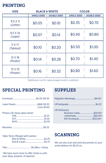#### PRINTING

| <b>SIZE</b>                 | <b>BLACK &amp; WHITE</b> |                          |                     | <b>COLOR</b>        |
|-----------------------------|--------------------------|--------------------------|---------------------|---------------------|
|                             | <b>SINGLE SIDED</b>      | <b>DOUBLE SIDED</b><br>٠ | <b>SINGLE SIDED</b> | <b>DOUBLE SIDED</b> |
| 8.5 X 11<br>(Letter)        | \$0.05                   | \$0.10                   | \$0.35              | \$0.70              |
| 8.5 X 14<br>(Legal)         | \$0.07                   | \$0.14                   | \$0.40              | \$0.80              |
| $11 \times 17$<br>(Tabloid) | \$0.10                   | \$0.20                   | \$0.50              | \$1.00              |
| 12 X 18<br>(Poster)         | \$0.14                   | \$0.28                   | \$0.70              | \$1.40              |
| 13 X 19<br>(Poster)         | \$0.16                   | \$0.32                   | \$0.80              | \$1.60              |

*\*Additional cost for special paper and/or cardstock*

#### SPECIAL PRINTING SUPPLIES

|                                                    | <b>Color \$0.65</b> |
|----------------------------------------------------|---------------------|
| Photos (On heavy gloss stock)                      |                     |
|                                                    |                     |
| $\tau$ . $\tau$ , and the set of the set of $\tau$ |                     |

| Table Tents (Merged with names) |  |
|---------------------------------|--|
|                                 |  |
| Red & Cream 52.75               |  |

Tabs.............................................\$0.28ea + Setup

*\*We have much more to offer. Email us with your ideas, projects, & inquiries!*

| <b>UR Stationery</b><br>Business Cards\$30.00+<br>#10 Envelopes\$125.00+ |  |
|--------------------------------------------------------------------------|--|

## SCANNING

We can also scan and send documents to your email address for \$0.25 ea.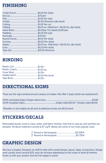#### FINISHING

## BINDING

## DIRECTIONAL SIGNS

These are the signs posted around campus on stakes. We offer 2 types (both are waterproof):

13X19 Laminated Signs (Single sided only).......................................................................................\$3.80 12X18 Coroplast Signs..........................................................Single-sided \$6.00 • Double sided \$9.00

*\*Wooden or wire stakes are \$1 each & adhesive arrows are \$0.25 each.*

## STICKERS/DECALS

Removable decals come in clear, white, and fabric finishes. Feel free to stop by and see/feel our samples. All decal material is priced at \$7 sq/ft. Below are some of our most popular sizes:

#### GRAPHIC DESIGN

We have a Graphic Designer on staff to help with overall design, layout, ideas, & execution. Design work usually starts around \$25, and can increase depending on the scope of work & timeline. Email us with your project and we'll be happy to assist.